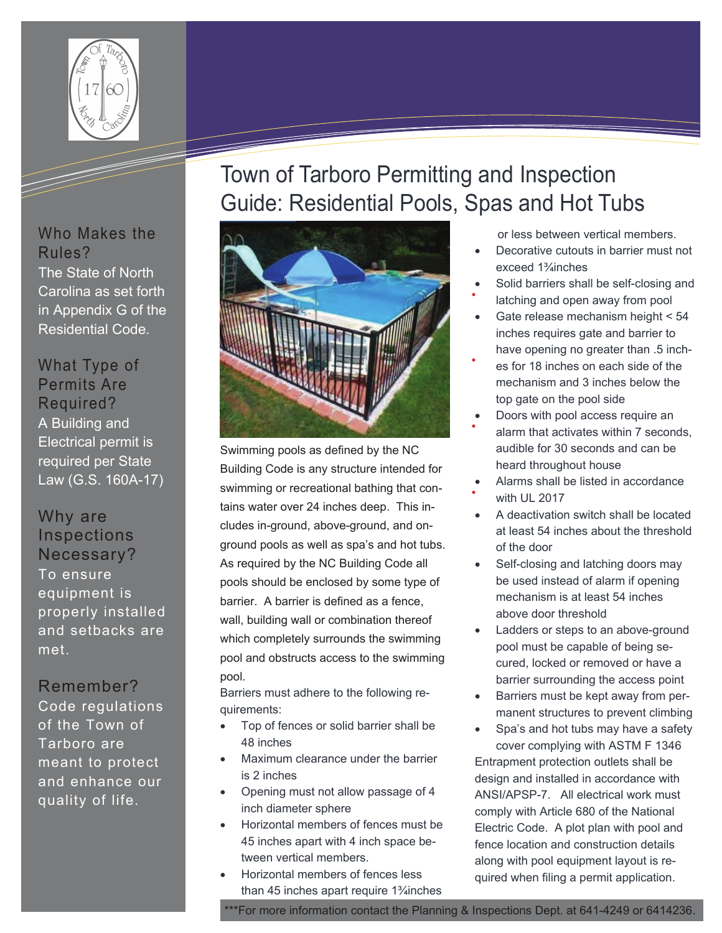

The State of North Carolina as set forth in Appendix G of the Residential Code.

A Building and Electrical permit is required per State Law (G.S. 160A-17)

To ensure equipment is properly installed and setbacks are met.

Code regulations of the Town of Tarboro are meant to protect and enhance our quality of life.

# Town of Tarboro Permitting and Inspection Guide: Residential Pools, Spas and Hot Tubs



Swimming pools as defined by the NC Building Code is any structure intended for swimming or recreational bathing that contains water over 24 inches deep. This includes in-ground, above-ground, and onground pools as well as spa's and hot tubs. As required by the NC Building Code all pools should be enclosed by some type of barrier. A barrier is defined as a fence, wall, building wall or combination thereof which completely surrounds the swimming pool and obstructs access to the swimming pool.

Barriers must adhere to the following requirements:

- Top of fences or solid barrier shall be 48 inches
- Maximum clearance under the barrier is 2 inches
- Opening must not allow passage of 4 inch diameter sphere
- Horizontal members of fences must be 45 inches apart with 4 inch space between vertical members.
- Horizontal members of fences less than 45 inches apart require 1¾inches
- or less between vertical members.
- Decorative cutouts in barrier must not exceed 1¾inches
- Solid barriers shall be self-closing and
- latching and open away from pool Gate release mechanism height < 54
- inches requires gate and barrier to have opening no greater than .5 inch-
- es for 18 inches on each side of the mechanism and 3 inches below the top gate on the pool side
- Doors with pool access require an alarm that activates within 7 seconds, audible for 30 seconds and can be heard throughout house
- Alarms shall be listed in accordance with UL 2017
- A deactivation switch shall be located at least 54 inches about the threshold of the door
- Self-closing and latching doors may be used instead of alarm if opening mechanism is at least 54 inches above door threshold
- Ladders or steps to an above-ground pool must be capable of being secured, locked or removed or have a barrier surrounding the access point
- Barriers must be kept away from permanent structures to prevent climbing
- Spa's and hot tubs may have a safety cover complying with ASTM F 1346

Entrapment protection outlets shall be design and installed in accordance with ANSI/APSP-7. All electrical work must comply with Article 680 of the National Electric Code. A plot plan with pool and fence location and construction details along with pool equipment layout is required when filing a permit application.